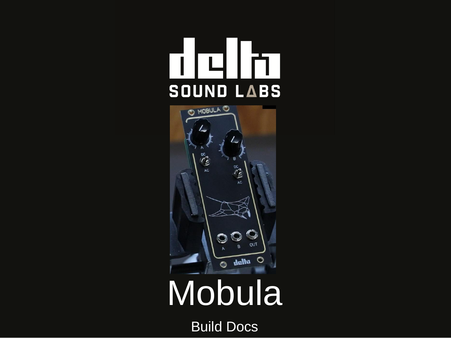### īП ١ñ SOUND LABS



# Mobula

Build Docs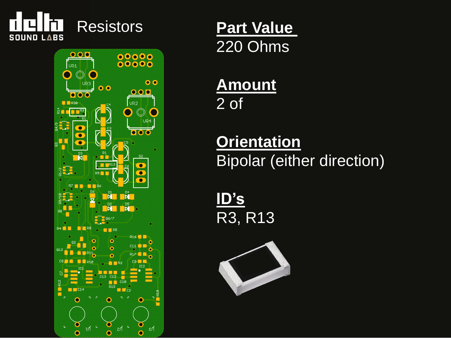



220 Ohms

### **Amount** 2 of

### **Orientation** Bipolar (either direction)

**ID's** R3, R13

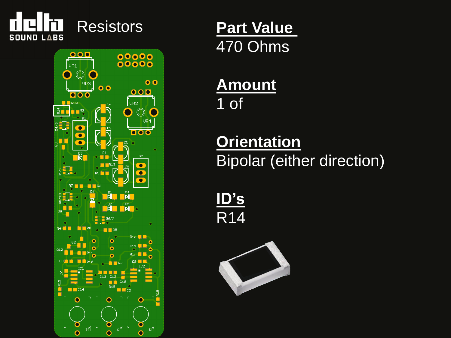



470 Ohms

### **Amount** 1 of

### **Orientation** Bipolar (either direction)

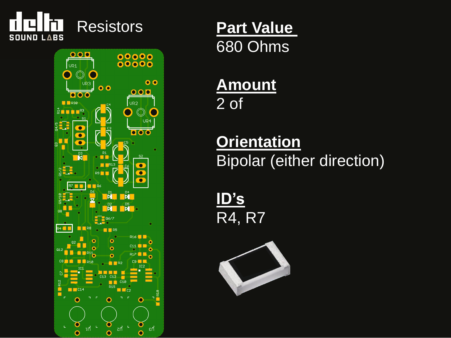



680 Ohms

### **Amount** 2 of

### **Orientation** Bipolar (either direction)

**ID's** R4, R7

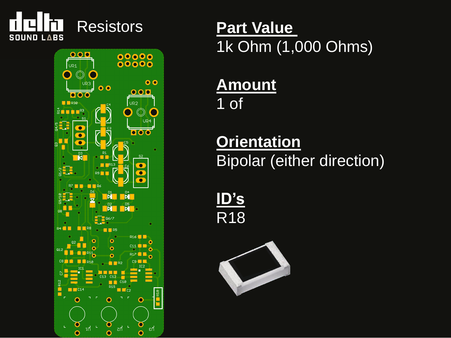



1k Ohm (1,000 Ohms)

### **Amount** 1 of

### **Orientation** Bipolar (either direction)

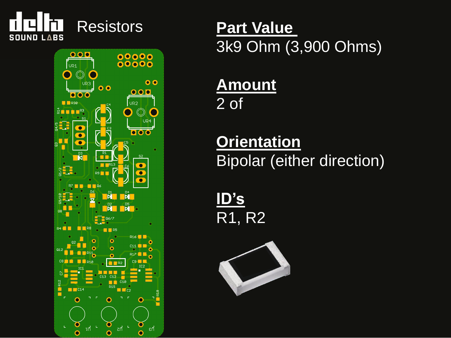



3k9 Ohm (3,900 Ohms)

### **Amount** 2 of

### **Orientation** Bipolar (either direction)

**ID's** R1, R2

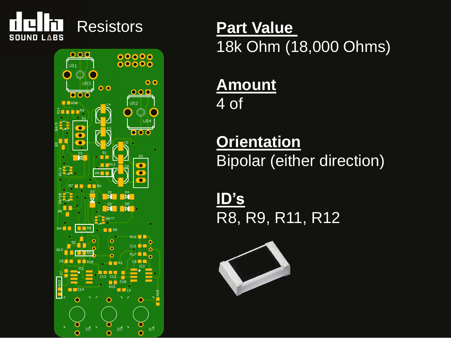



18k Ohm (18,000 Ohms)

### **Amount** 4 of

### **Orientation** Bipolar (either direction)

**ID's** R8, R9, R11, R12

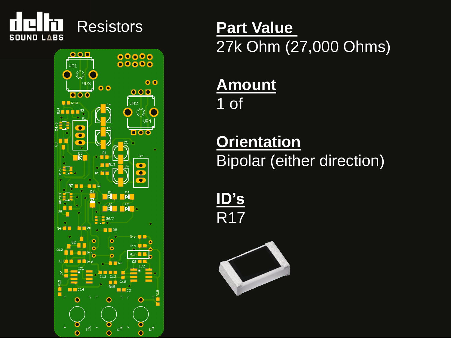



27k Ohm (27,000 Ohms)

### **Amount** 1 of

### **Orientation** Bipolar (either direction)

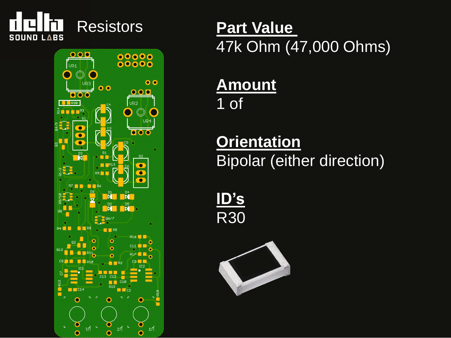



47k Ohm (47,000 Ohms)

### **Amount** 1 of

### **Orientation** Bipolar (either direction)

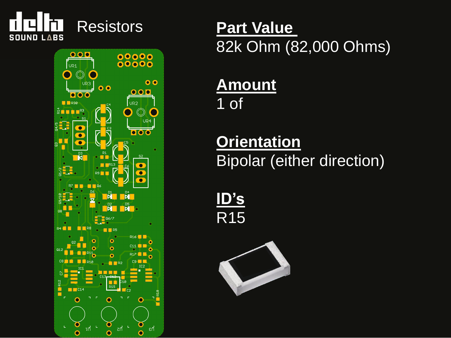



82k Ohm (82,000 Ohms)

### **Amount** 1 of

### **Orientation** Bipolar (either direction)

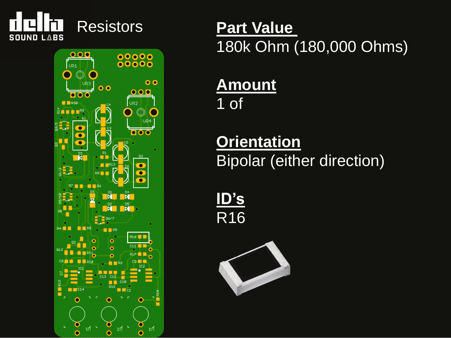



### 180k Ohm (180,000 Ohms)

### **Amount** 1 of

### **Orientation** Bipolar (either direction)

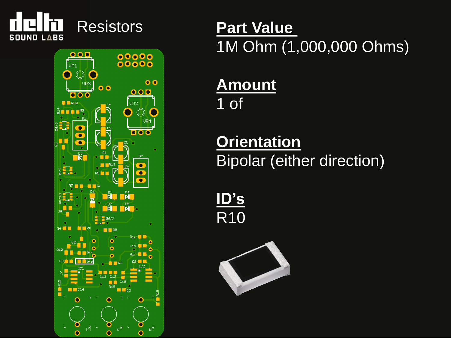



1M Ohm (1,000,000 Ohms)

### **Amount** 1 of

### **Orientation** Bipolar (either direction)

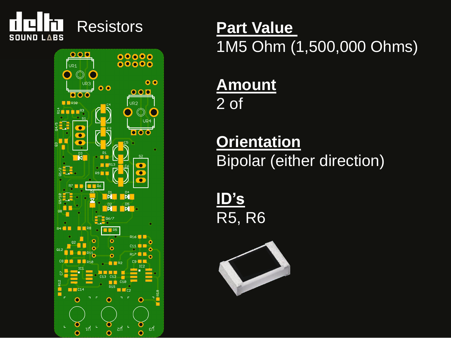



1M5 Ohm (1,500,000 Ohms)

### **Amount** 2 of

### **Orientation Bipolar (either direction)**

**ID's** R5, R6

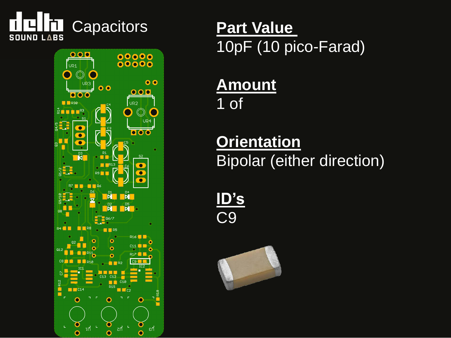



10pF (10 pico-Farad)

### **Amount** 1 of

### **Orientation** Bipolar (either direction)

**ID's** C9

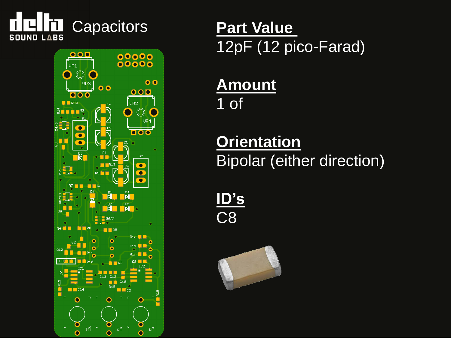



12pF (12 pico-Farad)

### **Amount** 1 of

### **Orientation** Bipolar (either direction)

**ID's** C8

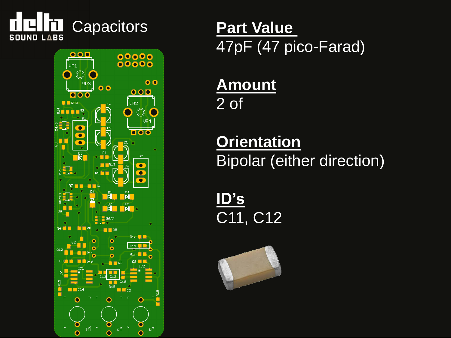



47pF (47 pico-Farad)

**Amount** 2 of

**Orientation Bipolar (either direction)** 

**ID's** C11, C12

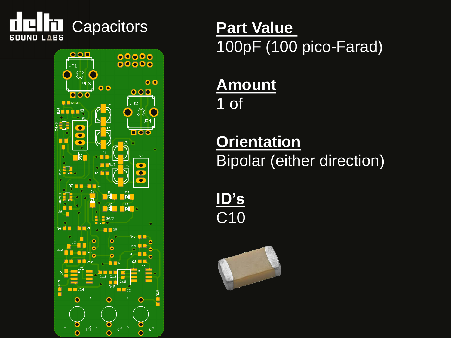



100pF (100 pico-Farad)

### **Amount** 1 of

### **Orientation Bipolar (either direction)**

**ID's** C10

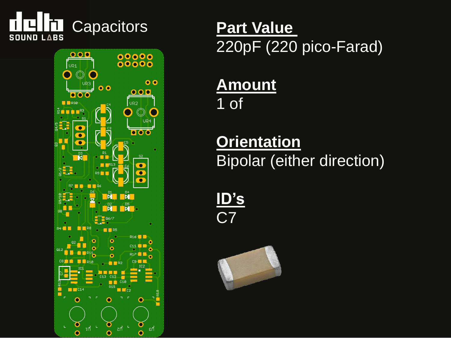



220pF (220 pico-Farad)

### **Amount** 1 of

### **Orientation** Bipolar (either direction)

**ID's** C7

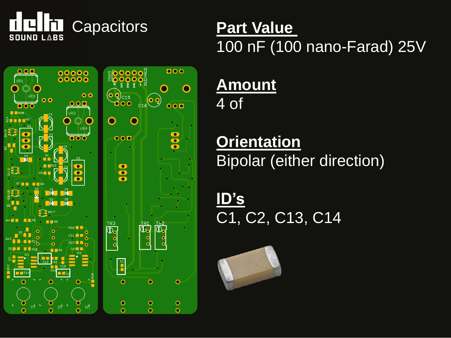



# 100 nF (100 nano-Farad) 25V

### **Amount** 4 of

### **Orientation** Bipolar (either direction)

**ID's** C1, C2, C13, C14

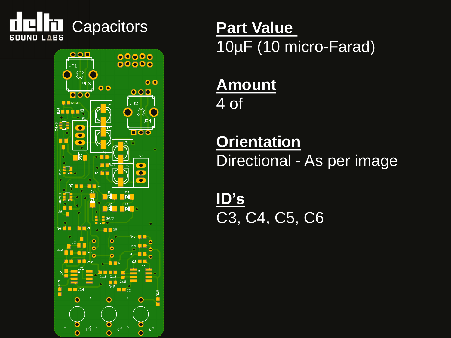



### 10µF (10 micro-Farad)

### **Amount** 4 of

### **Orientation** Directional - As per image

**ID's** C3, C4, C5, C6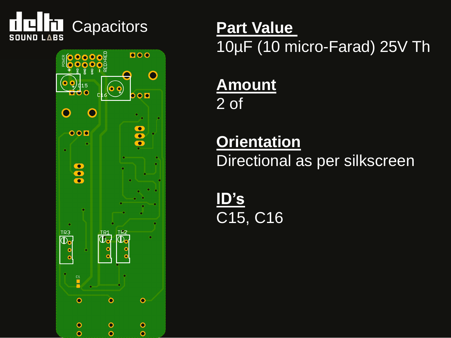



# 10µF (10 micro-Farad) 25V Th

### **Amount** 2 of

### **Orientation**

Directional as per silkscreen

**ID's** C15, C16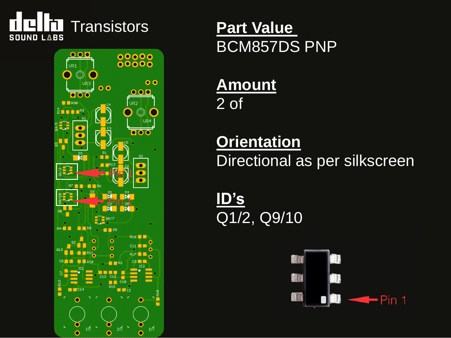



BCM857DS PNP

### **Amount** 2 of

### **Orientation** Directional as per silkscreen

**ID's** Q1/2, Q9/10

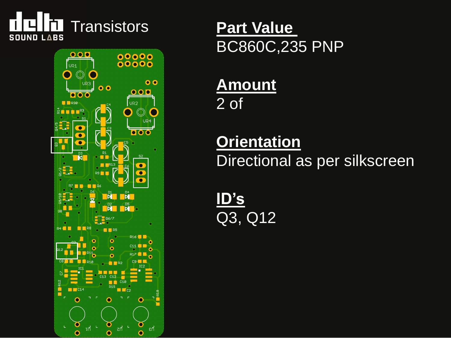



BC860C,235 PNP

### **Amount** 2 of

### **Orientation** Directional as per silkscreen

**ID's** Q3, Q12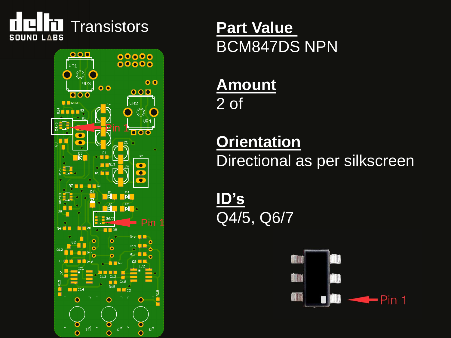



### BCM847DS NPN

### **Amount** 2 of

### **Orientation** Directional as per silkscreen

**ID's** Q4/5, Q6/7

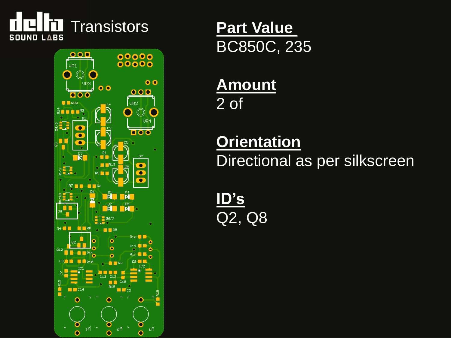



BC850C, 235

### **Amount** 2 of

### **Orientation** Directional as per silkscreen

**ID's** Q2, Q8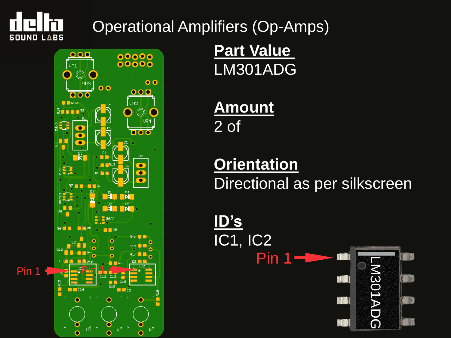

### Operational Amplifiers (Op-Amps)



**Part Value**  LM301ADG

**Amount** 2 of

### **Orientation** Directional as per silkscreen

**ID's** IC1, IC2 Pin 1 T LM301ADG M301ADG TIL T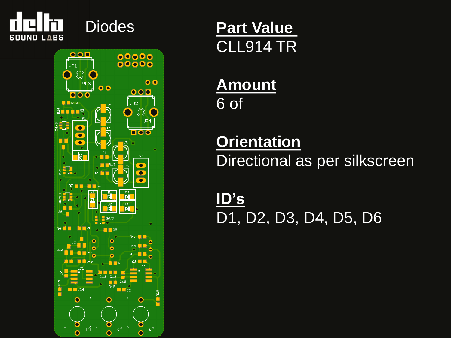



Diodes **Part Value**  CLL914 TR

### **Amount** 6 of

### **Orientation** Directional as per silkscreen

**ID's** D1, D2, D3, D4, D5, D6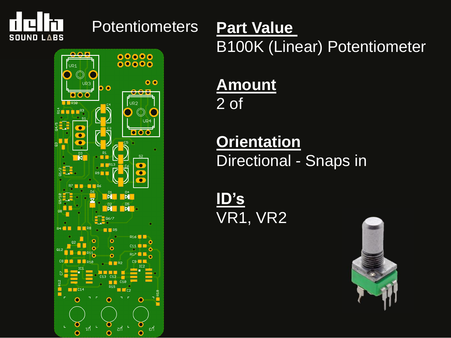

#### Potentiometers **Part Value**



B100K (Linear) Potentiometer

### **Amount** 2 of

### **Orientation** Directional - Snaps in

**ID's** VR1, VR2

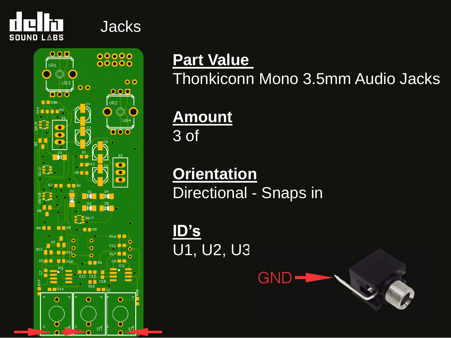

#### Jacks



### **Part Value**

Thonkiconn Mono 3.5mm Audio Jacks

**Amount** 3 of

**Orientation** Directional - Snaps in

**GND** 

**ID's** U1, U2, U3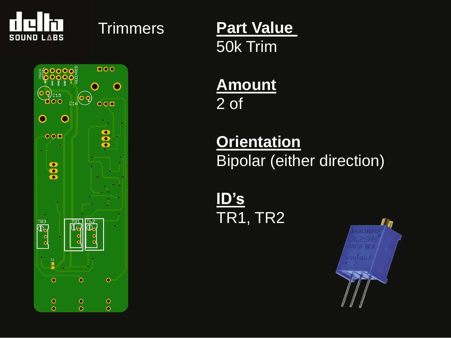



Trimmers **Part Value**  50k Trim

> **Amount** 2 of

**Orientation** Bipolar (either direction)

**ID's** TR1, TR2

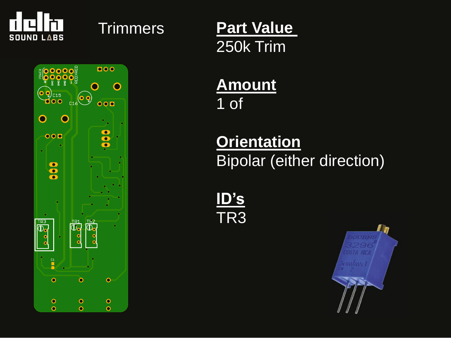



Trimmers **Part Value**  250k Trim

> **Amount** 1 of

**Orientation** Bipolar (either direction)